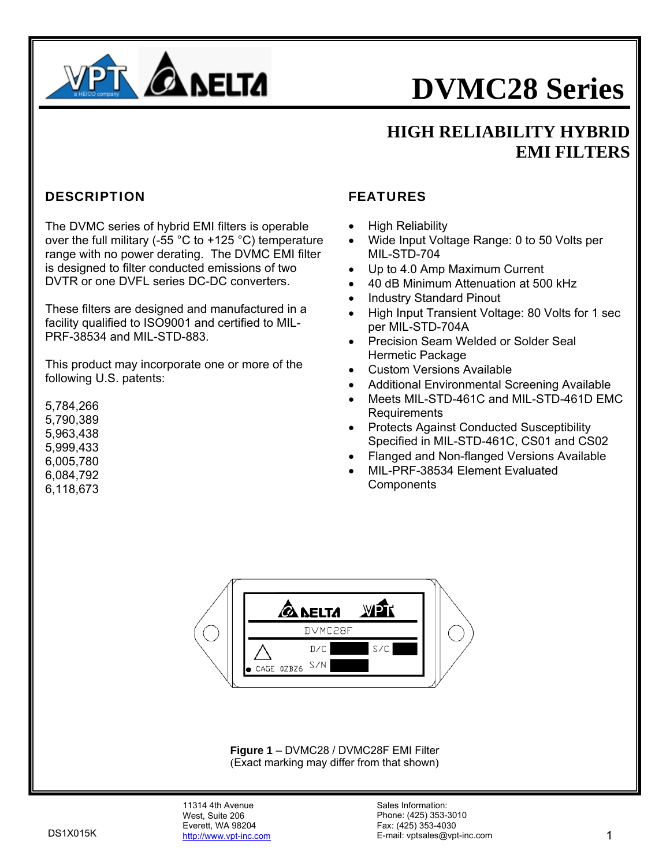

### **HIGH RELIABILITY HYBRID EMI FILTERS**

#### DESCRIPTION

The DVMC series of hybrid EMI filters is operable over the full military (-55 °C to +125 °C) temperature range with no power derating. The DVMC EMI filter is designed to filter conducted emissions of two DVTR or one DVFL series DC-DC converters.

These filters are designed and manufactured in a facility qualified to ISO9001 and certified to MIL-PRF-38534 and MIL-STD-883.

This product may incorporate one or more of the following U.S. patents:

5,784,266 5,790,389 5,963,438 5,999,433 6,005,780 6,084,792 6,118,673

#### FEATURES

- High Reliability
- Wide Input Voltage Range: 0 to 50 Volts per MIL-STD-704
- Up to 4.0 Amp Maximum Current
- 40 dB Minimum Attenuation at 500 kHz
- Industry Standard Pinout
- High Input Transient Voltage: 80 Volts for 1 sec per MIL-STD-704A
- Precision Seam Welded or Solder Seal Hermetic Package
- Custom Versions Available
- Additional Environmental Screening Available
- Meets MIL-STD-461C and MIL-STD-461D EMC Requirements
- Protects Against Conducted Susceptibility Specified in MIL-STD-461C, CS01 and CS02
- Flanged and Non-flanged Versions Available
- MIL-PRF-38534 Element Evaluated **Components**



**Figure 1** – DVMC28 / DVMC28F EMI Filter (Exact marking may differ from that shown)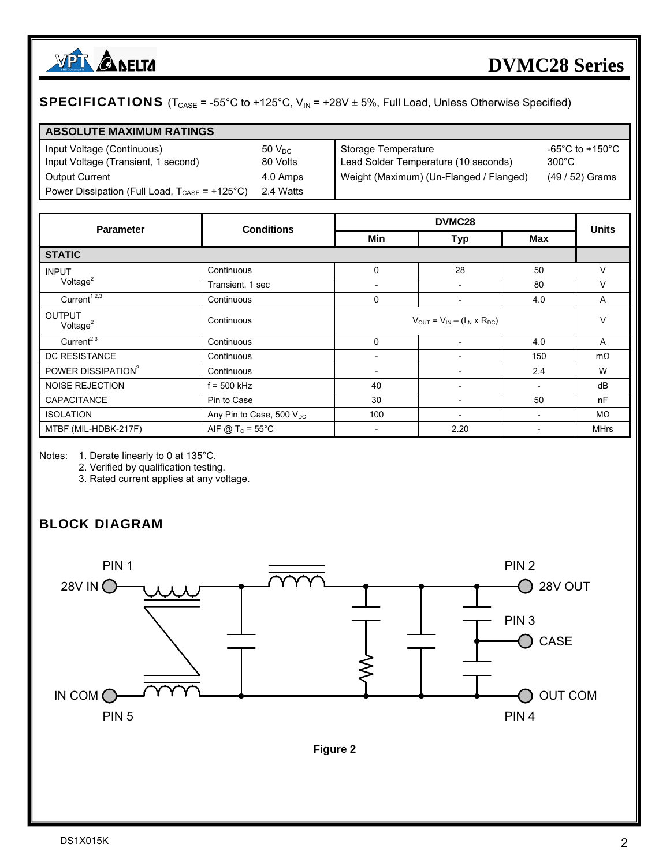

#### **SPECIFICATIONS** ( $T_{CASE}$  = -55°C to +125°C,  $V_{IN}$  = +28V  $\pm$  5%, Full Load, Unless Otherwise Specified)

| <b>ABSOLUTE MAXIMUM RATINGS</b>                                           |            |                                         |                 |
|---------------------------------------------------------------------------|------------|-----------------------------------------|-----------------|
| Input Voltage (Continuous)                                                | $50V_{DC}$ | Storage Temperature                     | -65°C to +150°C |
| Input Voltage (Transient, 1 second)                                       | 80 Volts   | Lead Solder Temperature (10 seconds)    | $300^{\circ}$ C |
| <b>Output Current</b>                                                     | 4.0 Amps   | Weight (Maximum) (Un-Flanged / Flanged) | (49 / 52) Grams |
| Power Dissipation (Full Load, $T_{\text{CASE}} = +125^{\circ} \text{C}$ ) | 2.4 Watts  |                                         |                 |

| <b>Parameter</b>                                 | <b>Conditions</b>                     |                          | <b>Units</b>                                |                          |             |  |
|--------------------------------------------------|---------------------------------------|--------------------------|---------------------------------------------|--------------------------|-------------|--|
|                                                  |                                       | Min                      | <b>Max</b><br><b>Typ</b>                    |                          |             |  |
| <b>STATIC</b>                                    |                                       |                          |                                             |                          |             |  |
| <b>INPUT</b>                                     | Continuous                            | 0                        | 28                                          | 50                       | V           |  |
| Voltage $2$                                      | Transient, 1 sec                      | $\overline{\phantom{0}}$ | $\overline{\phantom{0}}$                    | 80                       | V           |  |
| Current <sup><math>1,\overline{2,3}</math></sup> | Continuous                            | $\Omega$                 | $\overline{a}$                              | 4.0                      | A           |  |
| <b>OUTPUT</b><br>Voltage $2$                     | Continuous                            |                          | $V_{OUT} = V_{IN} - (I_{IN} \times R_{DC})$ |                          |             |  |
| Current <sup>2,3</sup>                           | Continuous                            | $\Omega$                 |                                             | 4.0                      | A           |  |
| <b>DC RESISTANCE</b>                             | Continuous                            |                          | $\overline{\phantom{a}}$                    | 150                      | $m\Omega$   |  |
| POWER DISSIPATION <sup>2</sup>                   | Continuous                            |                          | $\overline{\phantom{a}}$                    | 2.4                      | W           |  |
| <b>NOISE REJECTION</b>                           | $f = 500$ kHz                         | 40                       | $\overline{\phantom{0}}$                    | $\overline{\phantom{a}}$ | dB          |  |
| CAPACITANCE                                      | Pin to Case                           | 30                       | $\overline{\phantom{0}}$                    | 50                       | nF          |  |
| <b>ISOLATION</b>                                 | Any Pin to Case, 500 $V_{\text{DC}}$  | 100                      | $\overline{\phantom{0}}$                    | $\overline{\phantom{0}}$ | MΩ          |  |
| MTBF (MIL-HDBK-217F)                             | AIF @ T <sub>c</sub> = $55^{\circ}$ C |                          | 2.20                                        |                          | <b>MHrs</b> |  |

Notes: 1. Derate linearly to 0 at 135°C.

2. Verified by qualification testing.

3. Rated current applies at any voltage.

### BLOCK DIAGRAM



**Figure 2**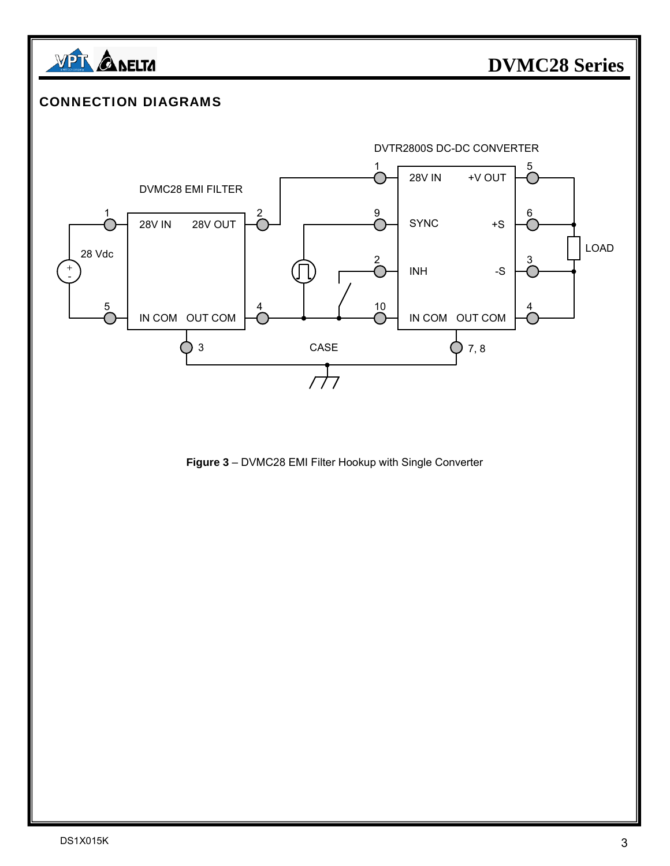

#### CONNECTION DIAGRAMS



**Figure 3** – DVMC28 EMI Filter Hookup with Single Converter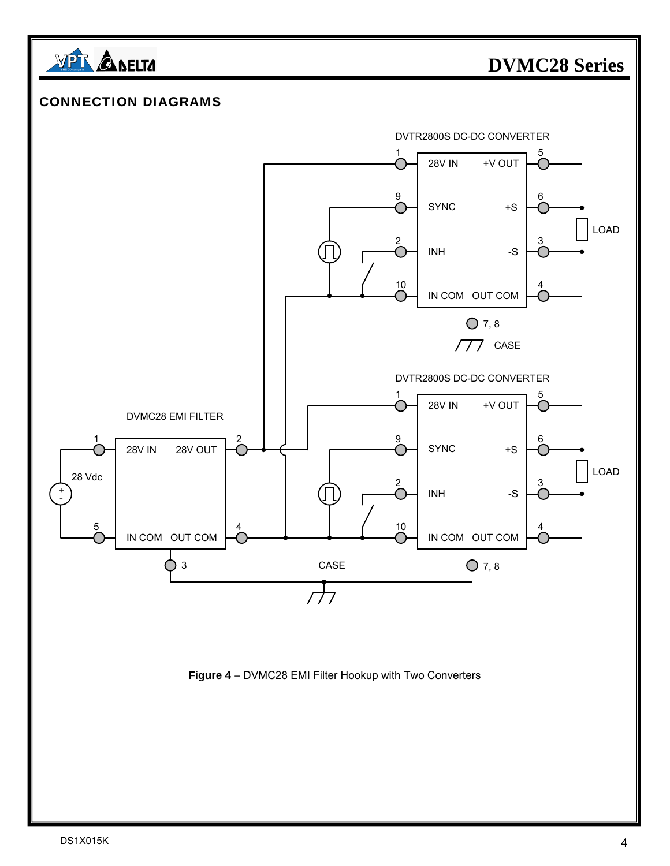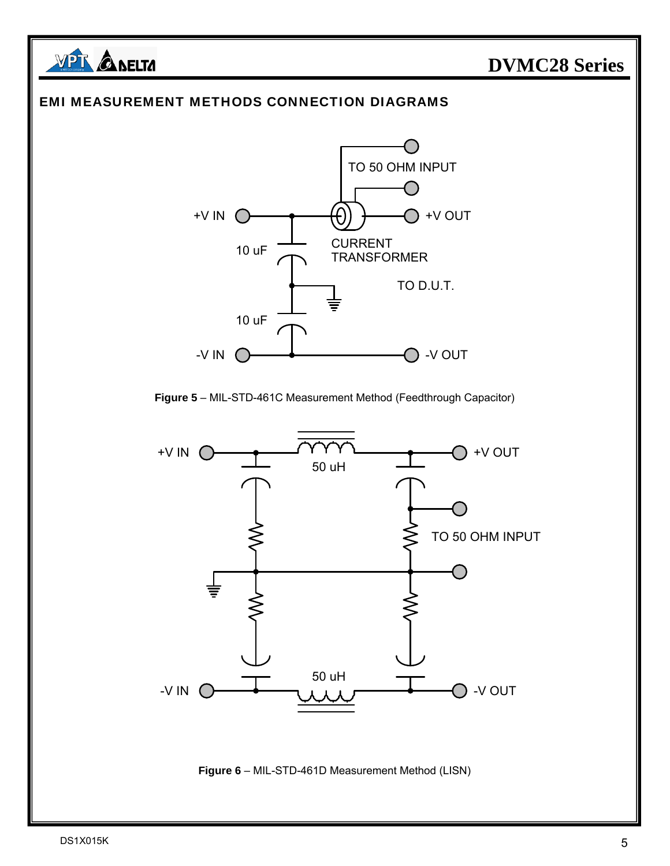

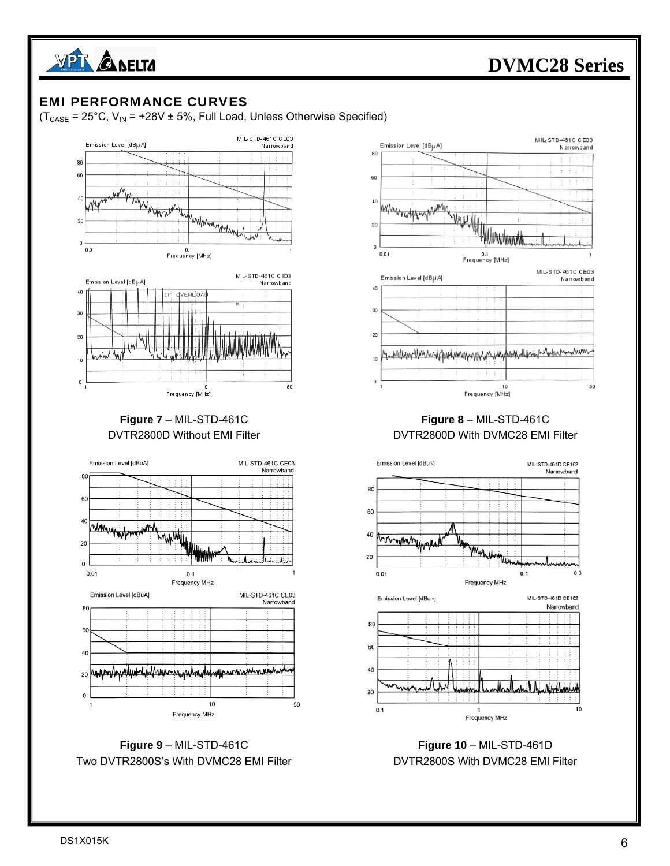

#### EMI PERFORMANCE CURVES

 $(T_{\text{CASE}} = 25^{\circ}C, V_{\text{IN}} = +28V \pm 5\%,$  Full Load, Unless Otherwise Specified)









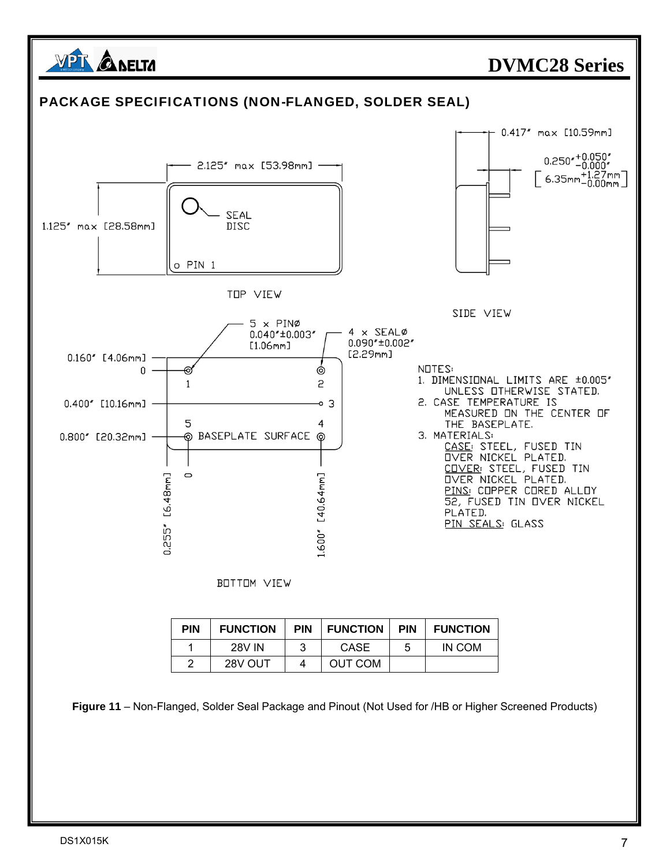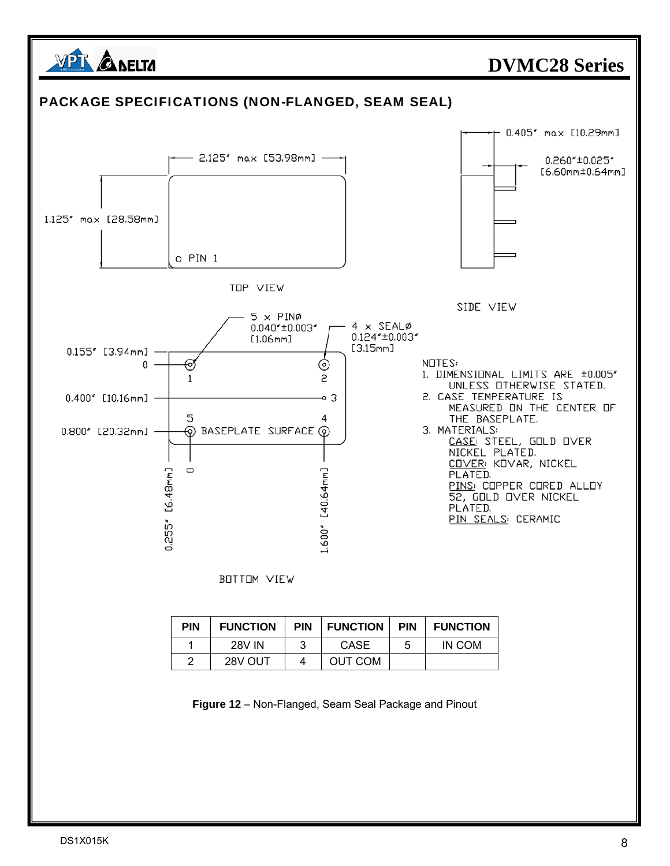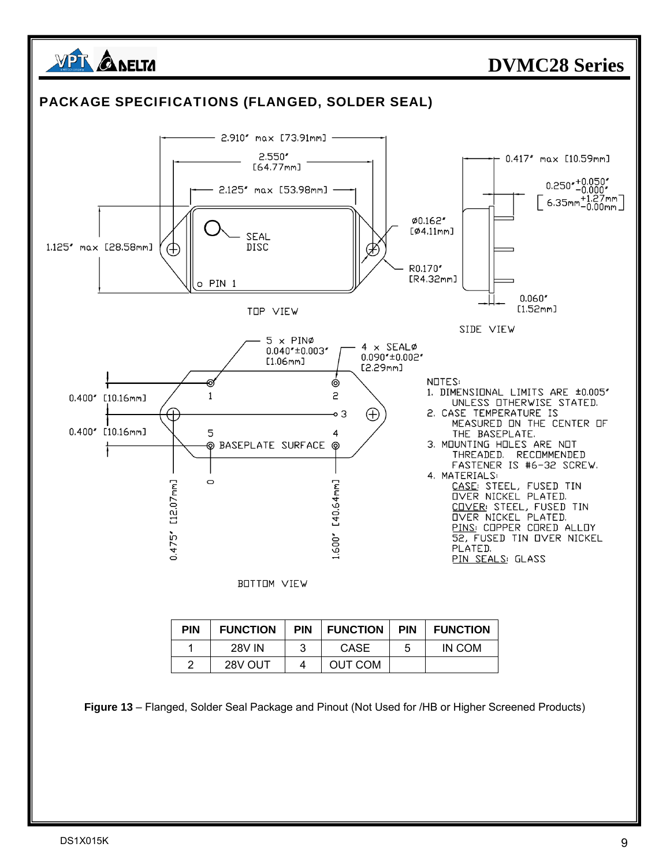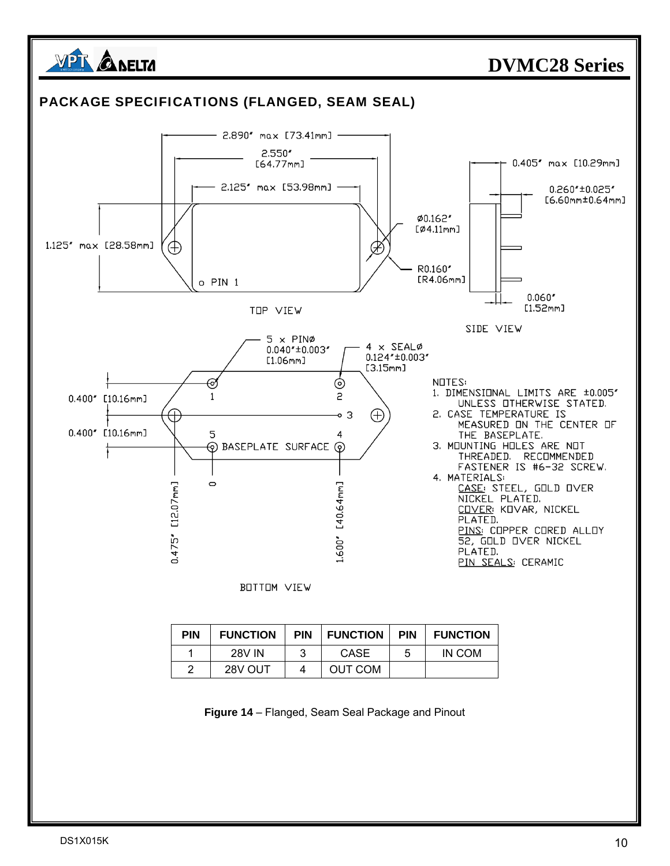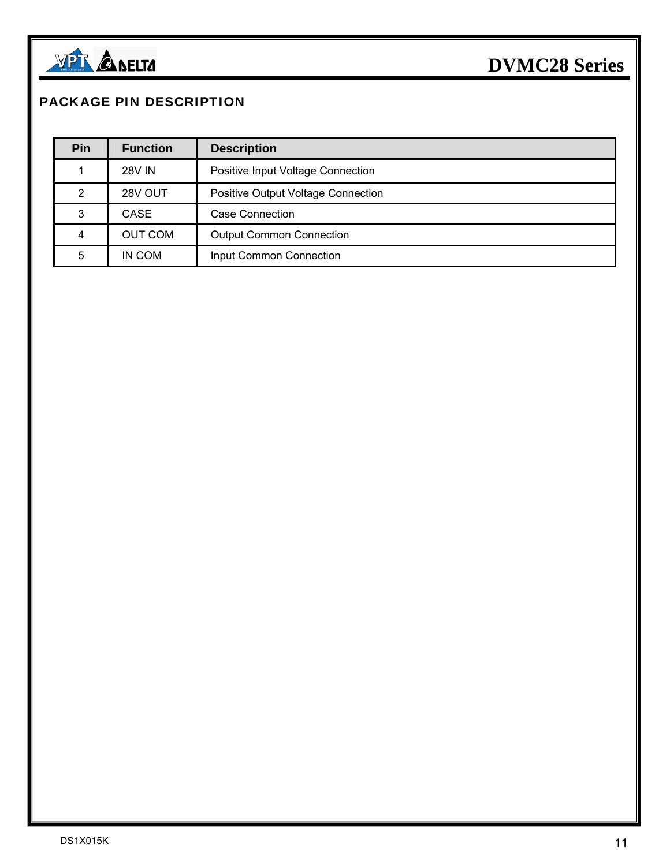

#### PACKAGE PIN DESCRIPTION

| Pin | <b>Function</b> | <b>Description</b>                 |
|-----|-----------------|------------------------------------|
|     | <b>28V IN</b>   | Positive Input Voltage Connection  |
| 2   | 28V OUT         | Positive Output Voltage Connection |
| 3   | CASE            | Case Connection                    |
| 4   | <b>OUT COM</b>  | <b>Output Common Connection</b>    |
| 5   | IN COM          | Input Common Connection            |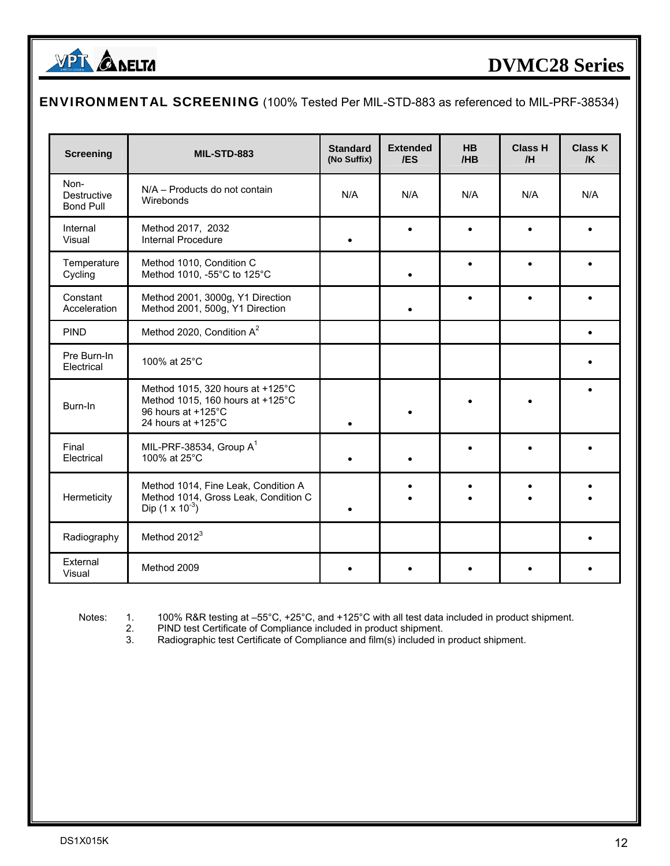

#### ENVIRONMENTAL SCREENING (100% Tested Per MIL-STD-883 as referenced to MIL-PRF-38534)

| <b>Screening</b>                        | MIL-STD-883                                                                                                      | <b>Standard</b><br>(No Suffix) | <b>Extended</b><br>/ES | <b>HB</b><br>/HB | <b>Class H</b><br>/H | <b>Class K</b><br>$\sqrt{K}$ |
|-----------------------------------------|------------------------------------------------------------------------------------------------------------------|--------------------------------|------------------------|------------------|----------------------|------------------------------|
| Non-<br>Destructive<br><b>Bond Pull</b> | N/A - Products do not contain<br>Wirebonds                                                                       | N/A                            | N/A                    | N/A              | N/A                  | N/A                          |
| Internal<br>Visual                      | Method 2017, 2032<br><b>Internal Procedure</b>                                                                   |                                |                        |                  |                      |                              |
| Temperature<br>Cycling                  | Method 1010, Condition C<br>Method 1010, -55°C to 125°C                                                          |                                |                        |                  |                      |                              |
| Constant<br>Acceleration                | Method 2001, 3000g, Y1 Direction<br>Method 2001, 500g, Y1 Direction                                              |                                |                        |                  |                      |                              |
| <b>PIND</b>                             | Method 2020, Condition A <sup>2</sup>                                                                            |                                |                        |                  |                      |                              |
| Pre Burn-In<br>Electrical               | 100% at 25°C                                                                                                     |                                |                        |                  |                      |                              |
| Burn-In                                 | Method 1015, 320 hours at +125°C<br>Method 1015, 160 hours at +125°C<br>96 hours at +125°C<br>24 hours at +125°C |                                |                        |                  |                      |                              |
| Final<br>Electrical                     | MIL-PRF-38534, Group $A^1$<br>100% at 25°C                                                                       |                                |                        |                  |                      |                              |
| Hermeticity                             | Method 1014, Fine Leak, Condition A<br>Method 1014, Gross Leak, Condition C<br>Dip $(1 \times 10^{-3})$          |                                |                        |                  |                      |                              |
| Radiography                             | Method 2012 <sup>3</sup>                                                                                         |                                |                        |                  |                      |                              |
| External<br>Visual                      | Method 2009                                                                                                      |                                |                        |                  |                      |                              |

Notes: 1. 100% R&R testing at –55°C, +25°C, and +125°C with all test data included in product shipment.<br>2. PIND test Certificate of Compliance included in product shipment.

2. PIND test Certificate of Compliance included in product shipment.<br>3. Radiographic test Certificate of Compliance and film(s) included in

Radiographic test Certificate of Compliance and film(s) included in product shipment.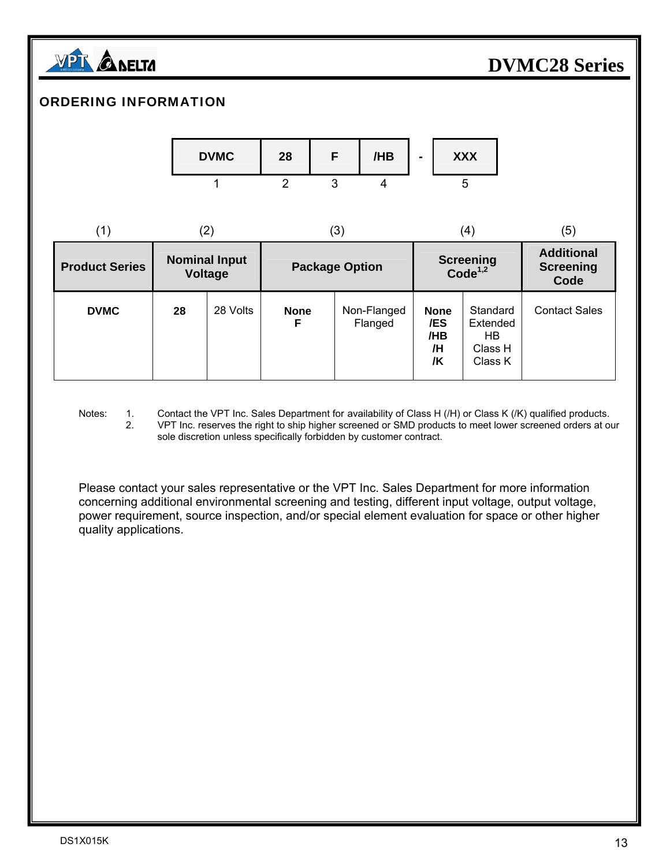

#### ORDERING INFORMATION



| (1)                   | (2)                                    |          | (3)                   |                        |                                       | (4)                                               | (5)                                           |
|-----------------------|----------------------------------------|----------|-----------------------|------------------------|---------------------------------------|---------------------------------------------------|-----------------------------------------------|
| <b>Product Series</b> | <b>Nominal Input</b><br><b>Voltage</b> |          | <b>Package Option</b> |                        |                                       | <b>Screening</b><br>Code <sup>1,2</sup>           | <b>Additional</b><br><b>Screening</b><br>Code |
| <b>DVMC</b>           | 28                                     | 28 Volts | <b>None</b><br>F      | Non-Flanged<br>Flanged | <b>None</b><br>/ES<br>/HB<br>/H<br>/K | Standard<br>Extended<br>HB.<br>Class H<br>Class K | <b>Contact Sales</b>                          |

Notes: 1. Contact the VPT Inc. Sales Department for availability of Class H (/H) or Class K (/K) qualified products. 2. VPT Inc. reserves the right to ship higher screened or SMD products to meet lower screened orders at our sole discretion unless specifically forbidden by customer contract.

 Please contact your sales representative or the VPT Inc. Sales Department for more information concerning additional environmental screening and testing, different input voltage, output voltage, power requirement, source inspection, and/or special element evaluation for space or other higher quality applications.